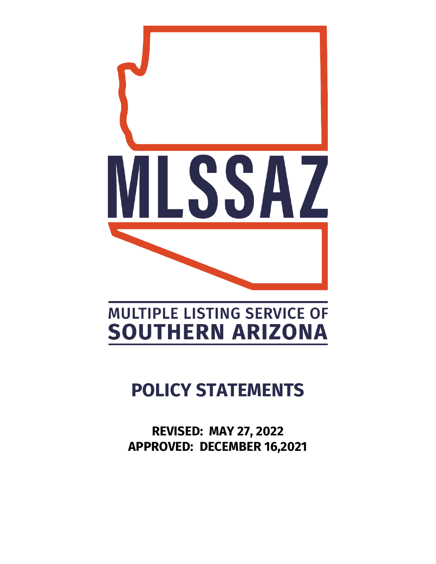

# **MULTIPLE LISTING SERVICE OF SOUTHERN ARIZONA**

# **POLICY STATEMENTS**

**REVISED: MAY 27, 2022 APPROVED: DECEMBER 16,2021**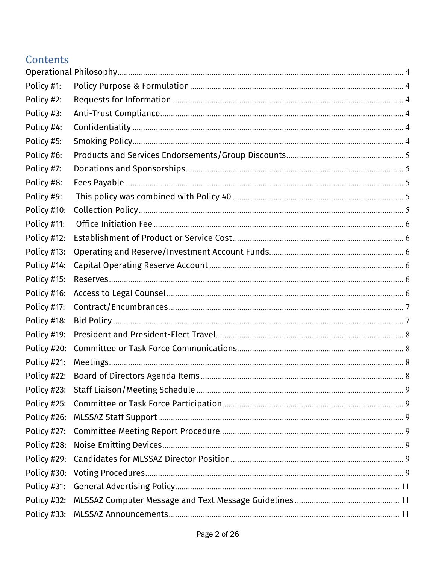# Contents

| Policy #30: |  |
|-------------|--|
| Policy #31: |  |
|             |  |
|             |  |
|             |  |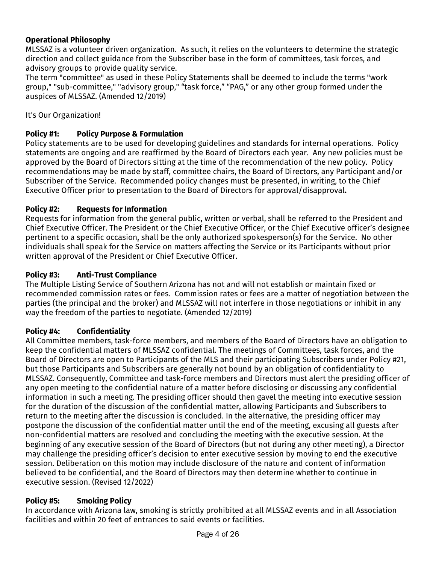## <span id="page-3-0"></span>**Operational Philosophy**

MLSSAZ is a volunteer driven organization. As such, it relies on the volunteers to determine the strategic direction and collect guidance from the Subscriber base in the form of committees, task forces, and advisory groups to provide quality service.

The term "committee" as used in these Policy Statements shall be deemed to include the terms "work group," "sub-committee," "advisory group," "task force," "PAG," or any other group formed under the auspices of MLSSAZ. (Amended 12/2019)

#### It's Our Organization!

#### <span id="page-3-1"></span>**Policy #1: Policy Purpose & Formulation**

Policy statements are to be used for developing guidelines and standards for internal operations. Policy statements are ongoing and are reaffirmed by the Board of Directors each year. Any new policies must be approved by the Board of Directors sitting at the time of the recommendation of the new policy. Policy recommendations may be made by staff, committee chairs, the Board of Directors, any Participant and/or Subscriber of the Service. Recommended policy changes must be presented, in writing, to the Chief Executive Officer prior to presentation to the Board of Directors for approval/disapproval**.**

#### <span id="page-3-2"></span>**Policy #2: Requests for Information**

Requests for information from the general public, written or verbal, shall be referred to the President and Chief Executive Officer. The President or the Chief Executive Officer, or the Chief Executive officer's designee pertinent to a specific occasion, shall be the only authorized spokesperson(s) for the Service. No other individuals shall speak for the Service on matters affecting the Service or its Participants without prior written approval of the President or Chief Executive Officer.

#### <span id="page-3-3"></span>**Policy #3: Anti-Trust Compliance**

The Multiple Listing Service of Southern Arizona has not and will not establish or maintain fixed or recommended commission rates or fees. Commission rates or fees are a matter of negotiation between the parties (the principal and the broker) and MLSSAZ will not interfere in those negotiations or inhibit in any way the freedom of the parties to negotiate. (Amended 12/2019)

#### <span id="page-3-4"></span>**Policy #4: Confidentiality**

All Committee members, task-force members, and members of the Board of Directors have an obligation to keep the confidential matters of MLSSAZ confidential. The meetings of Committees, task forces, and the Board of Directors are open to Participants of the MLS and their participating Subscribers under Policy #21, but those Participants and Subscribers are generally not bound by an obligation of confidentiality to MLSSAZ. Consequently, Committee and task-force members and Directors must alert the presiding officer of any open meeting to the confidential nature of a matter before disclosing or discussing any confidential information in such a meeting. The presiding officer should then gavel the meeting into executive session for the duration of the discussion of the confidential matter, allowing Participants and Subscribers to return to the meeting after the discussion is concluded. In the alternative, the presiding officer may postpone the discussion of the confidential matter until the end of the meeting, excusing all guests after non-confidential matters are resolved and concluding the meeting with the executive session. At the beginning of any executive session of the Board of Directors (but not during any other meeting), a Director may challenge the presiding officer's decision to enter executive session by moving to end the executive session. Deliberation on this motion may include disclosure of the nature and content of information believed to be confidential, and the Board of Directors may then determine whether to continue in executive session. (Revised 12/2022)

#### <span id="page-3-5"></span>**Policy #5: Smoking Policy**

In accordance with Arizona law, smoking is strictly prohibited at all MLSSAZ events and in all Association facilities and within 20 feet of entrances to said events or facilities.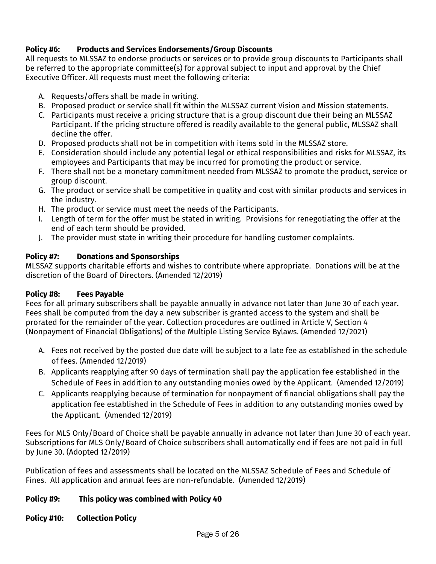## <span id="page-4-0"></span>**Policy #6: Products and Services Endorsements/Group Discounts**

All requests to MLSSAZ to endorse products or services or to provide group discounts to Participants shall be referred to the appropriate committee(s) for approval subject to input and approval by the Chief Executive Officer. All requests must meet the following criteria:

- A. Requests/offers shall be made in writing.
- B. Proposed product or service shall fit within the MLSSAZ current Vision and Mission statements.
- C. Participants must receive a pricing structure that is a group discount due their being an MLSSAZ Participant. If the pricing structure offered is readily available to the general public, MLSSAZ shall decline the offer.
- D. Proposed products shall not be in competition with items sold in the MLSSAZ store.
- E. Consideration should include any potential legal or ethical responsibilities and risks for MLSSAZ, its employees and Participants that may be incurred for promoting the product or service.
- F. There shall not be a monetary commitment needed from MLSSAZ to promote the product, service or group discount.
- G. The product or service shall be competitive in quality and cost with similar products and services in the industry.
- H. The product or service must meet the needs of the Participants.
- I. Length of term for the offer must be stated in writing. Provisions for renegotiating the offer at the end of each term should be provided.
- J. The provider must state in writing their procedure for handling customer complaints.

## <span id="page-4-1"></span>**Policy #7: Donations and Sponsorships**

MLSSAZ supports charitable efforts and wishes to contribute where appropriate. Donations will be at the discretion of the Board of Directors. (Amended 12/2019)

## <span id="page-4-2"></span>**Policy #8: Fees Payable**

Fees for all primary subscribers shall be payable annually in advance not later than June 30 of each year. Fees shall be computed from the day a new subscriber is granted access to the system and shall be prorated for the remainder of the year. Collection procedures are outlined in Article V, Section 4 (Nonpayment of Financial Obligations) of the Multiple Listing Service Bylaws. (Amended 12/2021)

- A. Fees not received by the posted due date will be subject to a late fee as established in the schedule of fees. (Amended 12/2019)
- B. Applicants reapplying after 90 days of termination shall pay the application fee established in the Schedule of Fees in addition to any outstanding monies owed by the Applicant. (Amended 12/2019)
- C. Applicants reapplying because of termination for nonpayment of financial obligations shall pay the application fee established in the Schedule of Fees in addition to any outstanding monies owed by the Applicant. (Amended 12/2019)

Fees for MLS Only/Board of Choice shall be payable annually in advance not later than June 30 of each year. Subscriptions for MLS Only/Board of Choice subscribers shall automatically end if fees are not paid in full by June 30. (Adopted 12/2019)

Publication of fees and assessments shall be located on the MLSSAZ Schedule of Fees and Schedule of Fines. All application and annual fees are non-refundable. (Amended 12/2019)

## <span id="page-4-3"></span>**Policy #9: This policy was combined with Policy 40**

#### <span id="page-4-4"></span>**Policy #10: Collection Policy**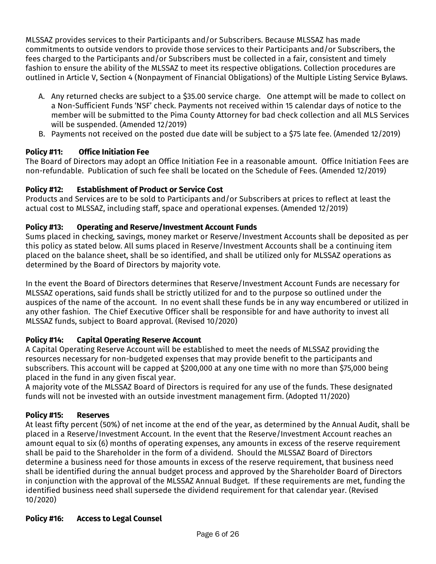MLSSAZ provides services to their Participants and/or Subscribers. Because MLSSAZ has made commitments to outside vendors to provide those services to their Participants and/or Subscribers, the fees charged to the Participants and/or Subscribers must be collected in a fair, consistent and timely fashion to ensure the ability of the MLSSAZ to meet its respective obligations. Collection procedures are outlined in Article V, Section 4 (Nonpayment of Financial Obligations) of the Multiple Listing Service Bylaws.

- A. Any returned checks are subject to a \$35.00 service charge. One attempt will be made to collect on a Non-Sufficient Funds 'NSF' check. Payments not received within 15 calendar days of notice to the member will be submitted to the Pima County Attorney for bad check collection and all MLS Services will be suspended. (Amended 12/2019)
- B. Payments not received on the posted due date will be subject to a \$75 late fee. (Amended 12/2019)

## <span id="page-5-0"></span>**Policy #11: Office Initiation Fee**

The Board of Directors may adopt an Office Initiation Fee in a reasonable amount. Office Initiation Fees are non-refundable. Publication of such fee shall be located on the Schedule of Fees. (Amended 12/2019)

## <span id="page-5-1"></span>**Policy #12: Establishment of Product or Service Cost**

Products and Services are to be sold to Participants and/or Subscribers at prices to reflect at least the actual cost to MLSSAZ, including staff, space and operational expenses. (Amended 12/2019)

## <span id="page-5-2"></span>**Policy #13: Operating and Reserve/Investment Account Funds**

Sums placed in checking, savings, money market or Reserve/Investment Accounts shall be deposited as per this policy as stated below. All sums placed in Reserve/Investment Accounts shall be a continuing item placed on the balance sheet, shall be so identified, and shall be utilized only for MLSSAZ operations as determined by the Board of Directors by majority vote.

In the event the Board of Directors determines that Reserve/Investment Account Funds are necessary for MLSSAZ operations, said funds shall be strictly utilized for and to the purpose so outlined under the auspices of the name of the account. In no event shall these funds be in any way encumbered or utilized in any other fashion. The Chief Executive Officer shall be responsible for and have authority to invest all MLSSAZ funds, subject to Board approval. (Revised 10/2020)

## <span id="page-5-3"></span>**Policy #14: Capital Operating Reserve Account**

A Capital Operating Reserve Account will be established to meet the needs of MLSSAZ providing the resources necessary for non-budgeted expenses that may provide benefit to the participants and subscribers. This account will be capped at \$200,000 at any one time with no more than \$75,000 being placed in the fund in any given fiscal year.

A majority vote of the MLSSAZ Board of Directors is required for any use of the funds. These designated funds will not be invested with an outside investment management firm. (Adopted 11/2020)

## <span id="page-5-4"></span>**Policy #15: Reserves**

At least fifty percent (50%) of net income at the end of the year, as determined by the Annual Audit, shall be placed in a Reserve/Investment Account. In the event that the Reserve/Investment Account reaches an amount equal to six (6) months of operating expenses, any amounts in excess of the reserve requirement shall be paid to the Shareholder in the form of a dividend. Should the MLSSAZ Board of Directors determine a business need for those amounts in excess of the reserve requirement, that business need shall be identified during the annual budget process and approved by the Shareholder Board of Directors in conjunction with the approval of the MLSSAZ Annual Budget. If these requirements are met, funding the identified business need shall supersede the dividend requirement for that calendar year. (Revised 10/2020)

## <span id="page-5-5"></span>**Policy #16: Access to Legal Counsel**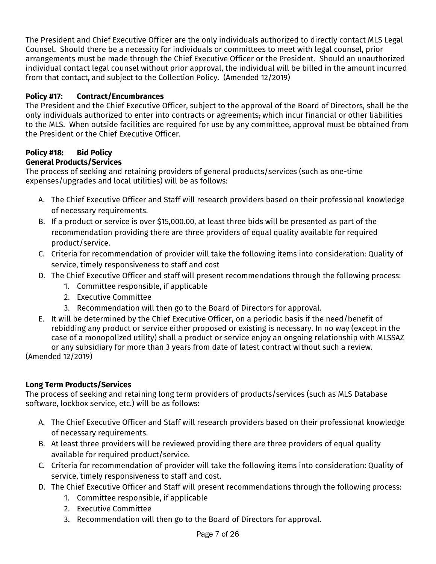The President and Chief Executive Officer are the only individuals authorized to directly contact MLS Legal Counsel. Should there be a necessity for individuals or committees to meet with legal counsel, prior arrangements must be made through the Chief Executive Officer or the President. Should an unauthorized individual contact legal counsel without prior approval, the individual will be billed in the amount incurred from that contact**,** and subject to the Collection Policy. (Amended 12/2019)

## <span id="page-6-0"></span>**Policy #17: Contract/Encumbrances**

The President and the Chief Executive Officer, subject to the approval of the Board of Directors, shall be the only individuals authorized to enter into contracts or agreements, which incur financial or other liabilities to the MLS. When outside facilities are required for use by any committee, approval must be obtained from the President or the Chief Executive Officer.

## <span id="page-6-1"></span>**Policy #18: Bid Policy**

## **General Products/Services**

The process of seeking and retaining providers of general products/services (such as one-time expenses/upgrades and local utilities) will be as follows:

- A. The Chief Executive Officer and Staff will research providers based on their professional knowledge of necessary requirements.
- B. If a product or service is over \$15,000.00, at least three bids will be presented as part of the recommendation providing there are three providers of equal quality available for required product/service.
- C. Criteria for recommendation of provider will take the following items into consideration: Quality of service, timely responsiveness to staff and cost
- D. The Chief Executive Officer and staff will present recommendations through the following process:
	- 1. Committee responsible, if applicable
	- 2. Executive Committee
	- 3. Recommendation will then go to the Board of Directors for approval.
- E. It will be determined by the Chief Executive Officer, on a periodic basis if the need/benefit of rebidding any product or service either proposed or existing is necessary. In no way (except in the case of a monopolized utility) shall a product or service enjoy an ongoing relationship with MLSSAZ or any subsidiary for more than 3 years from date of latest contract without such a review. (Amended 12/2019)

## **Long Term Products/Services**

The process of seeking and retaining long term providers of products/services (such as MLS Database software, lockbox service, etc.) will be as follows:

- A. The Chief Executive Officer and Staff will research providers based on their professional knowledge of necessary requirements.
- B. At least three providers will be reviewed providing there are three providers of equal quality available for required product/service.
- C. Criteria for recommendation of provider will take the following items into consideration: Quality of service, timely responsiveness to staff and cost.
- D. The Chief Executive Officer and Staff will present recommendations through the following process:
	- 1. Committee responsible, if applicable
	- 2. Executive Committee
	- 3. Recommendation will then go to the Board of Directors for approval.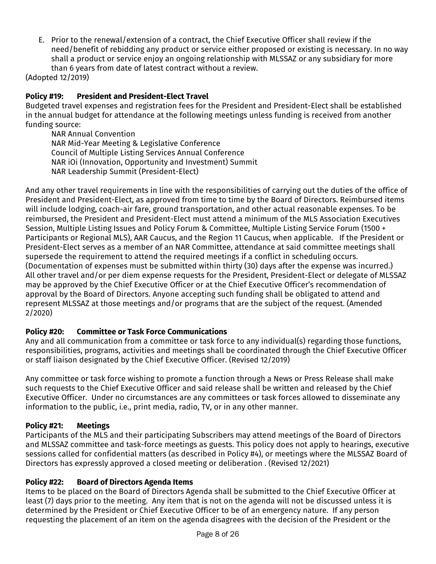E. Prior to the renewal/extension of a contract, the Chief Executive Officer shall review if the need/benefit of rebidding any product or service either proposed or existing is necessary. In no way shall a product or service enjoy an ongoing relationship with MLSSAZ or any subsidiary for more than 6 years from date of latest contract without a review.

(Adopted 12/2019)

## <span id="page-7-0"></span>**Policy #19: President and President-Elect Travel**

Budgeted travel expenses and registration fees for the President and President-Elect shall be established in the annual budget for attendance at the following meetings unless funding is received from another funding source:

NAR Annual Convention NAR Mid-Year Meeting & Legislative Conference Council of Multiple Listing Services Annual Conference NAR iOi (Innovation, Opportunity and Investment) Summit NAR Leadership Summit (President-Elect)

And any other travel requirements in line with the responsibilities of carrying out the duties of the office of President and President-Elect, as approved from time to time by the Board of Directors. Reimbursed items will include lodging, coach-air fare, ground transportation, and other actual reasonable expenses. To be reimbursed, the President and President-Elect must attend a minimum of the MLS Association Executives Session, Multiple Listing Issues and Policy Forum & Committee, Multiple Listing Service Forum (1500 + Participants or Regional MLS), AAR Caucus, and the Region 11 Caucus, when applicable. If the President or President-Elect serves as a member of an NAR Committee, attendance at said committee meetings shall supersede the requirement to attend the required meetings if a conflict in scheduling occurs. (Documentation of expenses must be submitted within thirty (30) days after the expense was incurred.) All other travel and/or per diem expense requests for the President, President-Elect or delegate of MLSSAZ may be approved by the Chief Executive Officer or at the Chief Executive Officer's recommendation of approval by the Board of Directors. Anyone accepting such funding shall be obligated to attend and represent MLSSAZ at those meetings and/or programs that are the subject of the request. (Amended 2/2020)

## <span id="page-7-1"></span>**Policy #20: Committee or Task Force Communications**

Any and all communication from a committee or task force to any individual(s) regarding those functions, responsibilities, programs, activities and meetings shall be coordinated through the Chief Executive Officer or staff liaison designated by the Chief Executive Officer. (Revised 12/2019)

Any committee or task force wishing to promote a function through a News or Press Release shall make such requests to the Chief Executive Officer and said release shall be written and released by the Chief Executive Officer. Under no circumstances are any committees or task forces allowed to disseminate any information to the public, i.e., print media, radio, TV, or in any other manner.

## <span id="page-7-2"></span>**Policy #21: Meetings**

Participants of the MLS and their participating Subscribers may attend meetings of the Board of Directors and MLSSAZ committee and task-force meetings as guests. This policy does not apply to hearings, executive sessions called for confidential matters (as described in Policy #4), or meetings where the MLSSAZ Board of Directors has expressly approved a closed meeting or deliberation . (Revised 12/2021)

## <span id="page-7-3"></span>**Policy #22: Board of Directors Agenda Items**

Items to be placed on the Board of Directors Agenda shall be submitted to the Chief Executive Officer at least (7) days prior to the meeting. Any item that is not on the agenda will not be discussed unless it is determined by the President or Chief Executive Officer to be of an emergency nature. If any person requesting the placement of an item on the agenda disagrees with the decision of the President or the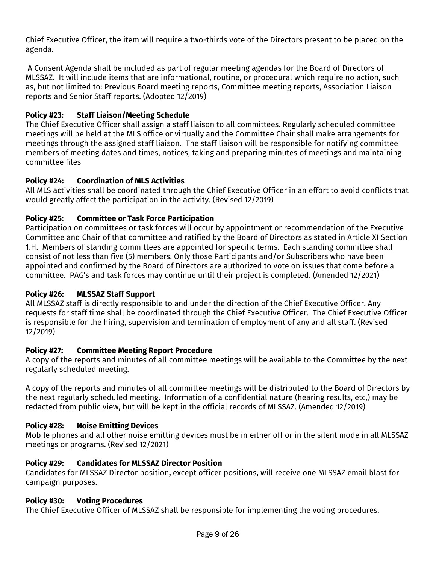Chief Executive Officer, the item will require a two-thirds vote of the Directors present to be placed on the agenda.

A Consent Agenda shall be included as part of regular meeting agendas for the Board of Directors of MLSSAZ. It will include items that are informational, routine, or procedural which require no action, such as, but not limited to: Previous Board meeting reports, Committee meeting reports, Association Liaison reports and Senior Staff reports. (Adopted 12/2019)

#### <span id="page-8-0"></span>**Policy #23: Staff Liaison/Meeting Schedule**

The Chief Executive Officer shall assign a staff liaison to all committees. Regularly scheduled committee meetings will be held at the MLS office or virtually and the Committee Chair shall make arrangements for meetings through the assigned staff liaison. The staff liaison will be responsible for notifying committee members of meeting dates and times, notices, taking and preparing minutes of meetings and maintaining committee files

#### **Policy #24: Coordination of MLS Activities**

All MLS activities shall be coordinated through the Chief Executive Officer in an effort to avoid conflicts that would greatly affect the participation in the activity. (Revised 12/2019)

#### <span id="page-8-1"></span>**Policy #25: Committee or Task Force Participation**

Participation on committees or task forces will occur by appointment or recommendation of the Executive Committee and Chair of that committee and ratified by the Board of Directors as stated in Article XI Section 1.H. Members of standing committees are appointed for specific terms. Each standing committee shall consist of not less than five (5) members. Only those Participants and/or Subscribers who have been appointed and confirmed by the Board of Directors are authorized to vote on issues that come before a committee. PAG's and task forces may continue until their project is completed. (Amended 12/2021)

#### <span id="page-8-2"></span>**Policy #26: MLSSAZ Staff Support**

All MLSSAZ staff is directly responsible to and under the direction of the Chief Executive Officer. Any requests for staff time shall be coordinated through the Chief Executive Officer. The Chief Executive Officer is responsible for the hiring, supervision and termination of employment of any and all staff. (Revised 12/2019)

#### <span id="page-8-3"></span>**Policy #27: Committee Meeting Report Procedure**

A copy of the reports and minutes of all committee meetings will be available to the Committee by the next regularly scheduled meeting.

A copy of the reports and minutes of all committee meetings will be distributed to the Board of Directors by the next regularly scheduled meeting. Information of a confidential nature (hearing results, etc,) may be redacted from public view, but will be kept in the official records of MLSSAZ. (Amended 12/2019)

#### <span id="page-8-4"></span>**Policy #28: Noise Emitting Devices**

Mobile phones and all other noise emitting devices must be in either off or in the silent mode in all MLSSAZ meetings or programs. (Revised 12/2021)

#### <span id="page-8-5"></span>**Policy #29: Candidates for MLSSAZ Director Position**

Candidates for MLSSAZ Director position**,** except officer positions**,** will receive one MLSSAZ email blast for campaign purposes.

#### <span id="page-8-6"></span>**Policy #30: Voting Procedures**

The Chief Executive Officer of MLSSAZ shall be responsible for implementing the voting procedures.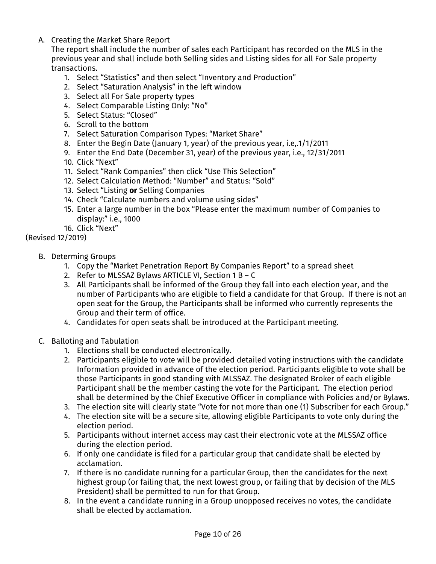## A. Creating the Market Share Report

The report shall include the number of sales each Participant has recorded on the MLS in the previous year and shall include both Selling sides and Listing sides for all For Sale property transactions.

- 1. Select "Statistics" and then select "Inventory and Production"
- 2. Select "Saturation Analysis" in the left window
- 3. Select all For Sale property types
- 4. Select Comparable Listing Only: "No"
- 5. Select Status: "Closed"
- 6. Scroll to the bottom
- 7. Select Saturation Comparison Types: "Market Share"
- 8. Enter the Begin Date (January 1, year) of the previous year, i.e,.1/1/2011
- 9. Enter the End Date (December 31, year) of the previous year, i.e., 12/31/2011
- 10. Click "Next"
- 11. Select "Rank Companies" then click "Use This Selection"
- 12. Select Calculation Method: "Number" and Status: "Sold"
- 13. Select "Listing **or** Selling Companies
- 14. Check "Calculate numbers and volume using sides"
- 15. Enter a large number in the box "Please enter the maximum number of Companies to display:" i.e., 1000
- 16. Click "Next"

(Revised 12/2019)

- B. Determing Groups
	- 1. Copy the "Market Penetration Report By Companies Report" to a spread sheet
	- 2. Refer to MLSSAZ Bylaws ARTICLE VI, Section 1 B C
	- 3. All Participants shall be informed of the Group they fall into each election year, and the number of Participants who are eligible to field a candidate for that Group. If there is not an open seat for the Group, the Participants shall be informed who currently represents the Group and their term of office.
	- 4. Candidates for open seats shall be introduced at the Participant meeting.
- C. Balloting and Tabulation
	- 1. Elections shall be conducted electronically.
	- 2. Participants eligible to vote will be provided detailed voting instructions with the candidate Information provided in advance of the election period. Participants eligible to vote shall be those Participants in good standing with MLSSAZ. The designated Broker of each eligible Participant shall be the member casting the vote for the Participant. The election period shall be determined by the Chief Executive Officer in compliance with Policies and/or Bylaws.
	- 3. The election site will clearly state "Vote for not more than one (1) Subscriber for each Group."
	- 4. The election site will be a secure site, allowing eligible Participants to vote only during the election period.
	- 5. Participants without internet access may cast their electronic vote at the MLSSAZ office during the election period.
	- 6. If only one candidate is filed for a particular group that candidate shall be elected by acclamation.
	- 7. If there is no candidate running for a particular Group, then the candidates for the next highest group (or failing that, the next lowest group, or failing that by decision of the MLS President) shall be permitted to run for that Group.
	- 8. In the event a candidate running in a Group unopposed receives no votes, the candidate shall be elected by acclamation.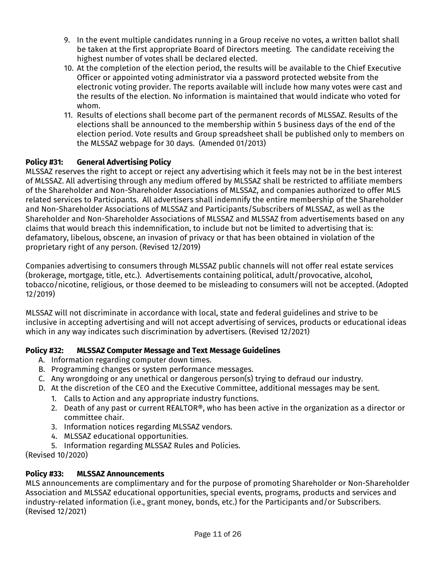- 9. In the event multiple candidates running in a Group receive no votes, a written ballot shall be taken at the first appropriate Board of Directors meeting. The candidate receiving the highest number of votes shall be declared elected.
- 10. At the completion of the election period, the results will be available to the Chief Executive Officer or appointed voting administrator via a password protected website from the electronic voting provider. The reports available will include how many votes were cast and the results of the election. No information is maintained that would indicate who voted for whom.
- 11. Results of elections shall become part of the permanent records of MLSSAZ. Results of the elections shall be announced to the membership within 5 business days of the end of the election period. Vote results and Group spreadsheet shall be published only to members on the MLSSAZ webpage for 30 days. (Amended 01/2013)

## <span id="page-10-0"></span>**Policy #31: General Advertising Policy**

MLSSAZ reserves the right to accept or reject any advertising which it feels may not be in the best interest of MLSSAZ. All advertising through any medium offered by MLSSAZ shall be restricted to affiliate members of the Shareholder and Non-Shareholder Associations of MLSSAZ, and companies authorized to offer MLS related services to Participants. All advertisers shall indemnify the entire membership of the Shareholder and Non-Shareholder Associations of MLSSAZ and Participants/Subscribers of MLSSAZ, as well as the Shareholder and Non-Shareholder Associations of MLSSAZ and MLSSAZ from advertisements based on any claims that would breach this indemnification, to include but not be limited to advertising that is: defamatory, libelous, obscene, an invasion of privacy or that has been obtained in violation of the proprietary right of any person. (Revised 12/2019)

Companies advertising to consumers through MLSSAZ public channels will not offer real estate services (brokerage, mortgage, title, etc.). Advertisements containing political, adult/provocative, alcohol, tobacco/nicotine, religious, or those deemed to be misleading to consumers will not be accepted. (Adopted 12/2019)

MLSSAZ will not discriminate in accordance with local, state and federal guidelines and strive to be inclusive in accepting advertising and will not accept advertising of services, products or educational ideas which in any way indicates such discrimination by advertisers. (Revised 12/2021)

## <span id="page-10-1"></span>**Policy #32: MLSSAZ Computer Message and Text Message Guidelines**

- A. Information regarding computer down times.
- B. Programming changes or system performance messages.
- C. Any wrongdoing or any unethical or dangerous person(s) trying to defraud our industry.
- D. At the discretion of the CEO and the Executive Committee, additional messages may be sent.
	- 1. Calls to Action and any appropriate industry functions.
	- 2. Death of any past or current REALTOR®, who has been active in the organization as a director or committee chair.
	- 3. Information notices regarding MLSSAZ vendors.
	- 4. MLSSAZ educational opportunities.
- 5. Information regarding MLSSAZ Rules and Policies.

(Revised 10/2020)

## <span id="page-10-2"></span>**Policy #33: MLSSAZ Announcements**

MLS announcements are complimentary and for the purpose of promoting Shareholder or Non-Shareholder Association and MLSSAZ educational opportunities, special events, programs, products and services and industry-related information (i.e., grant money, bonds, etc.) for the Participants and/or Subscribers. (Revised 12/2021)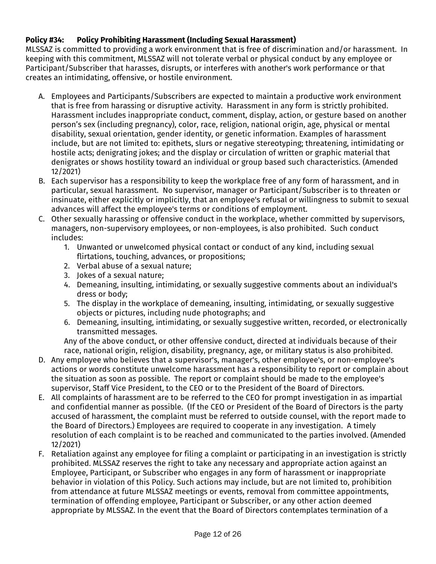## <span id="page-11-0"></span>**Policy #34: Policy Prohibiting Harassment (Including Sexual Harassment)**

MLSSAZ is committed to providing a work environment that is free of discrimination and/or harassment. In keeping with this commitment, MLSSAZ will not tolerate verbal or physical conduct by any employee or Participant/Subscriber that harasses, disrupts, or interferes with another's work performance or that creates an intimidating, offensive, or hostile environment.

- A. Employees and Participants/Subscribers are expected to maintain a productive work environment that is free from harassing or disruptive activity. Harassment in any form is strictly prohibited. Harassment includes inappropriate conduct, comment, display, action, or gesture based on another person's sex (including pregnancy), color, race, religion, national origin, age, physical or mental disability, sexual orientation, gender identity, or genetic information. Examples of harassment include, but are not limited to: epithets, slurs or negative stereotyping; threatening, intimidating or hostile acts; denigrating jokes; and the display or circulation of written or graphic material that denigrates or shows hostility toward an individual or group based such characteristics. (Amended 12/2021)
- B. Each supervisor has a responsibility to keep the workplace free of any form of harassment, and in particular, sexual harassment. No supervisor, manager or Participant/Subscriber is to threaten or insinuate, either explicitly or implicitly, that an employee's refusal or willingness to submit to sexual advances will affect the employee's terms or conditions of employment.
- C. Other sexually harassing or offensive conduct in the workplace, whether committed by supervisors, managers, non-supervisory employees, or non-employees, is also prohibited. Such conduct includes:
	- 1. Unwanted or unwelcomed physical contact or conduct of any kind, including sexual flirtations, touching, advances, or propositions;
	- 2. Verbal abuse of a sexual nature;
	- 3. Jokes of a sexual nature;
	- 4. Demeaning, insulting, intimidating, or sexually suggestive comments about an individual's dress or body;
	- 5. The display in the workplace of demeaning, insulting, intimidating, or sexually suggestive objects or pictures, including nude photographs; and
	- 6. Demeaning, insulting, intimidating, or sexually suggestive written, recorded, or electronically transmitted messages.

Any of the above conduct, or other offensive conduct, directed at individuals because of their race, national origin, religion, disability, pregnancy, age, or military status is also prohibited.

- D. Any employee who believes that a supervisor's, manager's, other employee's, or non-employee's actions or words constitute unwelcome harassment has a responsibility to report or complain about the situation as soon as possible. The report or complaint should be made to the employee's supervisor, Staff Vice President, to the CEO or to the President of the Board of Directors.
- E. All complaints of harassment are to be referred to the CEO for prompt investigation in as impartial and confidential manner as possible. (If the CEO or President of the Board of Directors is the party accused of harassment, the complaint must be referred to outside counsel, with the report made to the Board of Directors.) Employees are required to cooperate in any investigation. A timely resolution of each complaint is to be reached and communicated to the parties involved. (Amended 12/2021)
- F. Retaliation against any employee for filing a complaint or participating in an investigation is strictly prohibited. MLSSAZ reserves the right to take any necessary and appropriate action against an Employee, Participant, or Subscriber who engages in any form of harassment or inappropriate behavior in violation of this Policy. Such actions may include, but are not limited to, prohibition from attendance at future MLSSAZ meetings or events, removal from committee appointments, termination of offending employee, Participant or Subscriber, or any other action deemed appropriate by MLSSAZ. In the event that the Board of Directors contemplates termination of a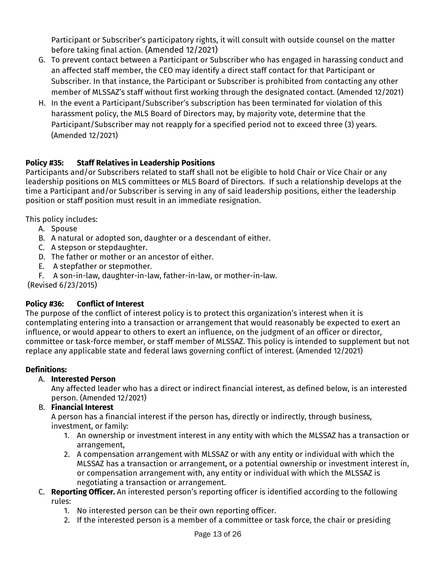Participant or Subscriber's participatory rights, it will consult with outside counsel on the matter before taking final action. (Amended 12/2021)

- G. To prevent contact between a Participant or Subscriber who has engaged in harassing conduct and an affected staff member, the CEO may identify a direct staff contact for that Participant or Subscriber. In that instance, the Participant or Subscriber is prohibited from contacting any other member of MLSSAZ's staff without first working through the designated contact. (Amended 12/2021)
- H. In the event a Participant/Subscriber's subscription has been terminated for violation of this harassment policy, the MLS Board of Directors may, by majority vote, determine that the Participant/Subscriber may not reapply for a specified period not to exceed three (3) years. (Amended 12/2021)

## <span id="page-12-0"></span>**Policy #35: Staff Relatives in Leadership Positions**

Participants and/or Subscribers related to staff shall not be eligible to hold Chair or Vice Chair or any leadership positions on MLS committees or MLS Board of Directors. If such a relationship develops at the time a Participant and/or Subscriber is serving in any of said leadership positions, either the leadership position or staff position must result in an immediate resignation.

This policy includes:

- A. Spouse
- B. A natural or adopted son, daughter or a descendant of either.
- C. A stepson or stepdaughter.
- D. The father or mother or an ancestor of either.
- E. A stepfather or stepmother.
- F. A son-in-law, daughter-in-law, father-in-law, or mother-in-law.

(Revised 6/23/2015)

## <span id="page-12-1"></span>**Policy #36: Conflict of Interest**

The purpose of the conflict of interest policy is to protect this organization's interest when it is contemplating entering into a transaction or arrangement that would reasonably be expected to exert an influence, or would appear to others to exert an influence, on the judgment of an officer or director, committee or task-force member, or staff member of MLSSAZ. This policy is intended to supplement but not replace any applicable state and federal laws governing conflict of interest. (Amended 12/2021)

## **Definitions:**

## A. **Interested Person**

Any affected leader who has a direct or indirect financial interest, as defined below, is an interested person. (Amended 12/2021)

## B. **Financial Interest**

A person has a financial interest if the person has, directly or indirectly, through business, investment, or family:

- 1. An ownership or investment interest in any entity with which the MLSSAZ has a transaction or arrangement,
- 2. A compensation arrangement with MLSSAZ or with any entity or individual with which the MLSSAZ has a transaction or arrangement, or a potential ownership or investment interest in, or compensation arrangement with, any entity or individual with which the MLSSAZ is negotiating a transaction or arrangement.
- C. **Reporting Officer.** An interested person's reporting officer is identified according to the following rules:
	- 1. No interested person can be their own reporting officer.
	- 2. If the interested person is a member of a committee or task force, the chair or presiding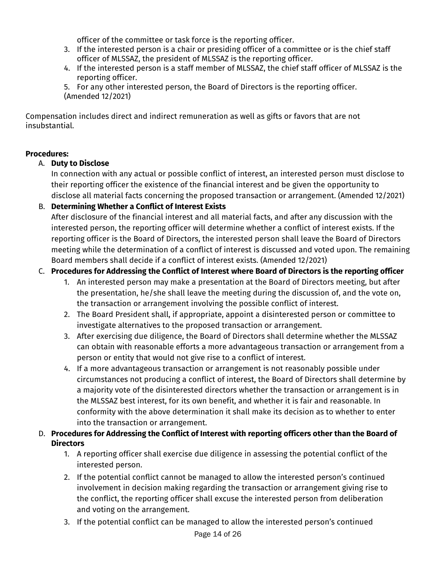officer of the committee or task force is the reporting officer.

- 3. If the interested person is a chair or presiding officer of a committee or is the chief staff officer of MLSSAZ, the president of MLSSAZ is the reporting officer.
- 4. If the interested person is a staff member of MLSSAZ, the chief staff officer of MLSSAZ is the reporting officer.
- 5. For any other interested person, the Board of Directors is the reporting officer. (Amended 12/2021)

Compensation includes direct and indirect remuneration as well as gifts or favors that are not insubstantial.

## **Procedures:**

## A. **Duty to Disclose**

In connection with any actual or possible conflict of interest, an interested person must disclose to their reporting officer the existence of the financial interest and be given the opportunity to disclose all material facts concerning the proposed transaction or arrangement. (Amended 12/2021)

## B. **Determining Whether a Conflict of Interest Exists**

After disclosure of the financial interest and all material facts, and after any discussion with the interested person, the reporting officer will determine whether a conflict of interest exists. If the reporting officer is the Board of Directors, the interested person shall leave the Board of Directors meeting while the determination of a conflict of interest is discussed and voted upon. The remaining Board members shall decide if a conflict of interest exists. (Amended 12/2021)

## C. **Procedures for Addressing the Conflict of Interest where Board of Directors is the reporting officer**

- 1. An interested person may make a presentation at the Board of Directors meeting, but after the presentation, he/she shall leave the meeting during the discussion of, and the vote on, the transaction or arrangement involving the possible conflict of interest.
- 2. The Board President shall, if appropriate, appoint a disinterested person or committee to investigate alternatives to the proposed transaction or arrangement.
- 3. After exercising due diligence, the Board of Directors shall determine whether the MLSSAZ can obtain with reasonable efforts a more advantageous transaction or arrangement from a person or entity that would not give rise to a conflict of interest.
- 4. If a more advantageous transaction or arrangement is not reasonably possible under circumstances not producing a conflict of interest, the Board of Directors shall determine by a majority vote of the disinterested directors whether the transaction or arrangement is in the MLSSAZ best interest, for its own benefit, and whether it is fair and reasonable. In conformity with the above determination it shall make its decision as to whether to enter into the transaction or arrangement.

## D. **Procedures for Addressing the Conflict of Interest with reporting officers other than the Board of Directors**

- 1. A reporting officer shall exercise due diligence in assessing the potential conflict of the interested person.
- 2. If the potential conflict cannot be managed to allow the interested person's continued involvement in decision making regarding the transaction or arrangement giving rise to the conflict, the reporting officer shall excuse the interested person from deliberation and voting on the arrangement.
- 3. If the potential conflict can be managed to allow the interested person's continued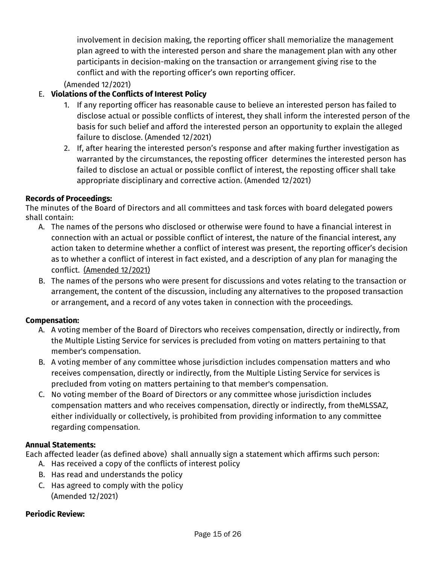involvement in decision making, the reporting officer shall memorialize the management plan agreed to with the interested person and share the management plan with any other participants in decision-making on the transaction or arrangement giving rise to the conflict and with the reporting officer's own reporting officer.

(Amended 12/2021)

## E. **Violations of the Conflicts of Interest Policy**

- 1. If any reporting officer has reasonable cause to believe an interested person has failed to disclose actual or possible conflicts of interest, they shall inform the interested person of the basis for such belief and afford the interested person an opportunity to explain the alleged failure to disclose. (Amended 12/2021)
- 2. If, after hearing the interested person's response and after making further investigation as warranted by the circumstances, the reposting officer determines the interested person has failed to disclose an actual or possible conflict of interest, the reposting officer shall take appropriate disciplinary and corrective action. (Amended 12/2021)

## **Records of Proceedings:**

The minutes of the Board of Directors and all committees and task forces with board delegated powers shall contain:

- A. The names of the persons who disclosed or otherwise were found to have a financial interest in connection with an actual or possible conflict of interest, the nature of the financial interest, any action taken to determine whether a conflict of interest was present, the reporting officer's decision as to whether a conflict of interest in fact existed, and a description of any plan for managing the conflict.(Amended 12/2021)
- B. The names of the persons who were present for discussions and votes relating to the transaction or arrangement, the content of the discussion, including any alternatives to the proposed transaction or arrangement, and a record of any votes taken in connection with the proceedings.

## **Compensation:**

- A. A voting member of the Board of Directors who receives compensation, directly or indirectly, from the Multiple Listing Service for services is precluded from voting on matters pertaining to that member's compensation.
- B. A voting member of any committee whose jurisdiction includes compensation matters and who receives compensation, directly or indirectly, from the Multiple Listing Service for services is precluded from voting on matters pertaining to that member's compensation.
- C. No voting member of the Board of Directors or any committee whose jurisdiction includes compensation matters and who receives compensation, directly or indirectly, from theMLSSAZ, either individually or collectively, is prohibited from providing information to any committee regarding compensation.

## **Annual Statements:**

Each affected leader (as defined above) shall annually sign a statement which affirms such person:

- A. Has received a copy of the conflicts of interest policy
- B. Has read and understands the policy
- C. Has agreed to comply with the policy (Amended 12/2021)

## **Periodic Review:**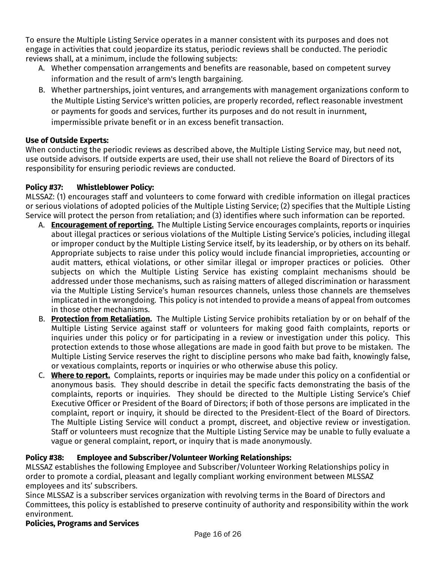To ensure the Multiple Listing Service operates in a manner consistent with its purposes and does not engage in activities that could jeopardize its status, periodic reviews shall be conducted. The periodic reviews shall, at a minimum, include the following subjects:

- A. Whether compensation arrangements and benefits are reasonable, based on competent survey information and the result of arm's length bargaining.
- B. Whether partnerships, joint ventures, and arrangements with management organizations conform to the Multiple Listing Service's written policies, are properly recorded, reflect reasonable investment or payments for goods and services, further its purposes and do not result in inurnment, impermissible private benefit or in an excess benefit transaction.

## **Use of Outside Experts:**

When conducting the periodic reviews as described above, the Multiple Listing Service may, but need not, use outside advisors. If outside experts are used, their use shall not relieve the Board of Directors of its responsibility for ensuring periodic reviews are conducted.

## <span id="page-15-0"></span>**Policy #37: Whistleblower Policy:**

MLSSAZ: (1) encourages staff and volunteers to come forward with credible information on illegal practices or serious violations of adopted policies of the Multiple Listing Service; (2) specifies that the Multiple Listing Service will protect the person from retaliation; and (3) identifies where such information can be reported.

- A. **Encouragement of reporting.** The Multiple Listing Service encourages complaints, reports or inquiries about illegal practices or serious violations of the Multiple Listing Service's policies, including illegal or improper conduct by the Multiple Listing Service itself, by its leadership, or by others on its behalf. Appropriate subjects to raise under this policy would include financial improprieties, accounting or audit matters, ethical violations, or other similar illegal or improper practices or policies. Other subjects on which the Multiple Listing Service has existing complaint mechanisms should be addressed under those mechanisms, such as raising matters of alleged discrimination or harassment via the Multiple Listing Service's human resources channels, unless those channels are themselves implicated in the wrongdoing. This policy is not intended to provide a means of appeal from outcomes in those other mechanisms.
- B. **Protection from Retaliation.** The Multiple Listing Service prohibits retaliation by or on behalf of the Multiple Listing Service against staff or volunteers for making good faith complaints, reports or inquiries under this policy or for participating in a review or investigation under this policy. This protection extends to those whose allegations are made in good faith but prove to be mistaken. The Multiple Listing Service reserves the right to discipline persons who make bad faith, knowingly false, or vexatious complaints, reports or inquiries or who otherwise abuse this policy.
- C. **Where to report.** Complaints, reports or inquiries may be made under this policy on a confidential or anonymous basis. They should describe in detail the specific facts demonstrating the basis of the complaints, reports or inquiries. They should be directed to the Multiple Listing Service's Chief Executive Officer or President of the Board of Directors; if both of those persons are implicated in the complaint, report or inquiry, it should be directed to the President-Elect of the Board of Directors. The Multiple Listing Service will conduct a prompt, discreet, and objective review or investigation. Staff or volunteers must recognize that the Multiple Listing Service may be unable to fully evaluate a vague or general complaint, report, or inquiry that is made anonymously.

## <span id="page-15-1"></span>**Policy #38: Employee and Subscriber/Volunteer Working Relationships:**

MLSSAZ establishes the following Employee and Subscriber/Volunteer Working Relationships policy in order to promote a cordial, pleasant and legally compliant working environment between MLSSAZ employees and its' subscribers.

Since MLSSAZ is a subscriber services organization with revolving terms in the Board of Directors and Committees, this policy is established to preserve continuity of authority and responsibility within the work environment.

## **Policies, Programs and Services**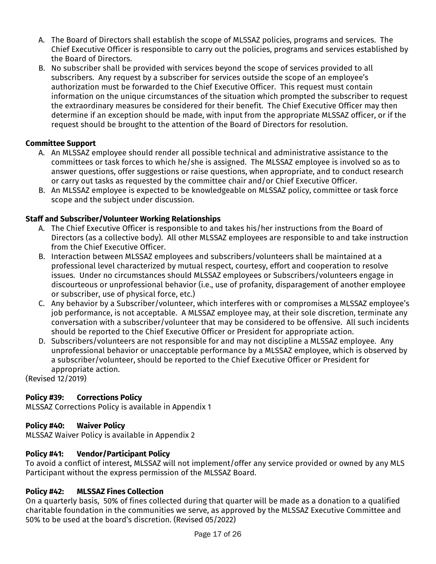- A. The Board of Directors shall establish the scope of MLSSAZ policies, programs and services. The Chief Executive Officer is responsible to carry out the policies, programs and services established by the Board of Directors.
- B. No subscriber shall be provided with services beyond the scope of services provided to all subscribers. Any request by a subscriber for services outside the scope of an employee's authorization must be forwarded to the Chief Executive Officer. This request must contain information on the unique circumstances of the situation which prompted the subscriber to request the extraordinary measures be considered for their benefit. The Chief Executive Officer may then determine if an exception should be made, with input from the appropriate MLSSAZ officer, or if the request should be brought to the attention of the Board of Directors for resolution.

## **Committee Support**

- A. An MLSSAZ employee should render all possible technical and administrative assistance to the committees or task forces to which he/she is assigned. The MLSSAZ employee is involved so as to answer questions, offer suggestions or raise questions, when appropriate, and to conduct research or carry out tasks as requested by the committee chair and/or Chief Executive Officer.
- B. An MLSSAZ employee is expected to be knowledgeable on MLSSAZ policy, committee or task force scope and the subject under discussion.

## **Staff and Subscriber/Volunteer Working Relationships**

- A. The Chief Executive Officer is responsible to and takes his/her instructions from the Board of Directors (as a collective body). All other MLSSAZ employees are responsible to and take instruction from the Chief Executive Officer.
- B. Interaction between MLSSAZ employees and subscribers/volunteers shall be maintained at a professional level characterized by mutual respect, courtesy, effort and cooperation to resolve issues. Under no circumstances should MLSSAZ employees or Subscribers/volunteers engage in discourteous or unprofessional behavior (i.e., use of profanity, disparagement of another employee or subscriber, use of physical force, etc.)
- C. Any behavior by a Subscriber/volunteer, which interferes with or compromises a MLSSAZ employee's job performance, is not acceptable. A MLSSAZ employee may, at their sole discretion, terminate any conversation with a subscriber/volunteer that may be considered to be offensive. All such incidents should be reported to the Chief Executive Officer or President for appropriate action.
- D. Subscribers/volunteers are not responsible for and may not discipline a MLSSAZ employee. Any unprofessional behavior or unacceptable performance by a MLSSAZ employee, which is observed by a subscriber/volunteer, should be reported to the Chief Executive Officer or President for appropriate action.

(Revised 12/2019)

## <span id="page-16-0"></span>**Policy #39: Corrections Policy**

MLSSAZ Corrections Policy is available in Appendix 1

## <span id="page-16-1"></span>**Policy #40: Waiver Policy**

MLSSAZ Waiver Policy is available in Appendix 2

## <span id="page-16-2"></span>**Policy #41: Vendor/Participant Policy**

To avoid a conflict of interest, MLSSAZ will not implement/offer any service provided or owned by any MLS Participant without the express permission of the MLSSAZ Board.

## <span id="page-16-3"></span>**Policy #42: MLSSAZ Fines Collection**

On a quarterly basis, 50% of fines collected during that quarter will be made as a donation to a qualified charitable foundation in the communities we serve, as approved by the MLSSAZ Executive Committee and 50% to be used at the board's discretion. (Revised 05/2022)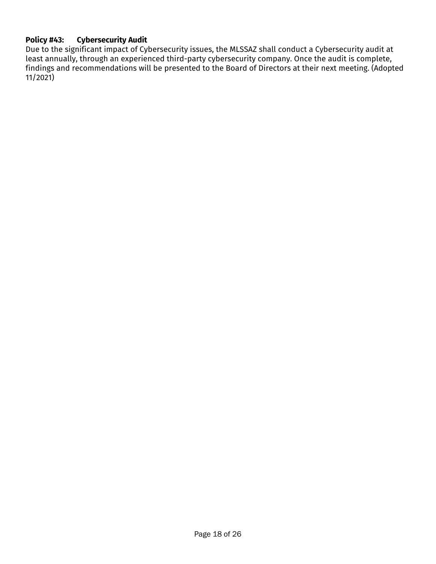## <span id="page-17-0"></span>**Policy #43: Cybersecurity Audit**

Due to the significant impact of Cybersecurity issues, the MLSSAZ shall conduct a Cybersecurity audit at least annually, through an experienced third-party cybersecurity company. Once the audit is complete, findings and recommendations will be presented to the Board of Directors at their next meeting. (Adopted 11/2021)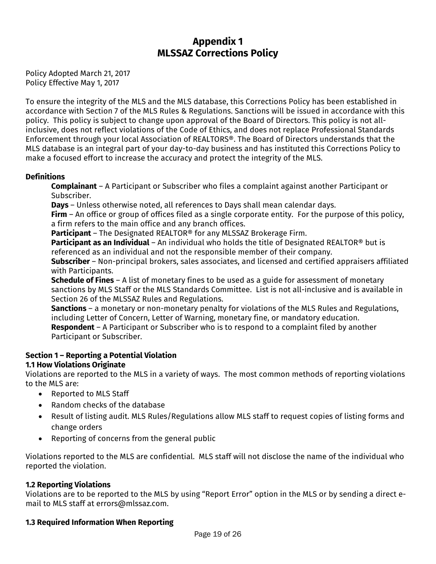## **Appendix 1 MLSSAZ Corrections Policy**

Policy Adopted March 21, 2017 Policy Effective May 1, 2017

To ensure the integrity of the MLS and the MLS database, this Corrections Policy has been established in accordance with Section 7 of the MLS Rules & Regulations. Sanctions will be issued in accordance with this policy. This policy is subject to change upon approval of the Board of Directors. This policy is not allinclusive, does not reflect violations of the Code of Ethics, and does not replace Professional Standards Enforcement through your local Association of REALTORS®. The Board of Directors understands that the MLS database is an integral part of your day-to-day business and has instituted this Corrections Policy to make a focused effort to increase the accuracy and protect the integrity of the MLS.

#### **Definitions**

**Complainant** – A Participant or Subscriber who files a complaint against another Participant or Subscriber.

**Days** – Unless otherwise noted, all references to Days shall mean calendar days.

**Firm** – An office or group of offices filed as a single corporate entity. For the purpose of this policy, a firm refers to the main office and any branch offices.

**Participant** – The Designated REALTOR® for any MLSSAZ Brokerage Firm.

**Participant as an Individual** – An individual who holds the title of Designated REALTOR<sup>®</sup> but is referenced as an individual and not the responsible member of their company.

**Subscriber** – Non-principal brokers, sales associates, and licensed and certified appraisers affiliated with Participants.

**Schedule of Fines** – A list of monetary fines to be used as a guide for assessment of monetary sanctions by MLS Staff or the MLS Standards Committee. List is not all-inclusive and is available in Section 26 of the MLSSAZ Rules and Regulations.

**Sanctions** – a monetary or non-monetary penalty for violations of the MLS Rules and Regulations, including Letter of Concern, Letter of Warning, monetary fine, or mandatory education.

**Respondent** – A Participant or Subscriber who is to respond to a complaint filed by another Participant or Subscriber.

## **Section 1 – Reporting a Potential Violation**

## **1.1 How Violations Originate**

Violations are reported to the MLS in a variety of ways. The most common methods of reporting violations to the MLS are:

- Reported to MLS Staff
- Random checks of the database
- Result of listing audit. MLS Rules/Regulations allow MLS staff to request copies of listing forms and change orders
- Reporting of concerns from the general public

Violations reported to the MLS are confidential. MLS staff will not disclose the name of the individual who reported the violation.

## **1.2 Reporting Violations**

Violations are to be reported to the MLS by using "Report Error" option in the MLS or by sending a direct email to MLS staff at errors@mlssaz.com.

## **1.3 Required Information When Reporting**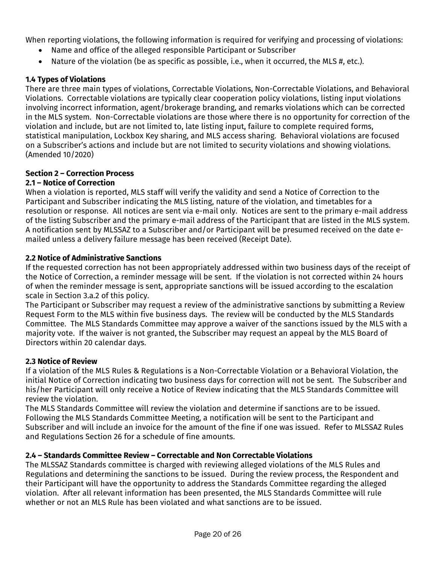When reporting violations, the following information is required for verifying and processing of violations:

- Name and office of the alleged responsible Participant or Subscriber
- Nature of the violation (be as specific as possible, i.e., when it occurred, the MLS #, etc.).

#### **1.4 Types of Violations**

There are three main types of violations, Correctable Violations, Non-Correctable Violations, and Behavioral Violations. Correctable violations are typically clear cooperation policy violations, listing input violations involving incorrect information, agent/brokerage branding, and remarks violations which can be corrected in the MLS system. Non-Correctable violations are those where there is no opportunity for correction of the violation and include, but are not limited to, late listing input, failure to complete required forms, statistical manipulation, Lockbox Key sharing, and MLS access sharing. Behavioral violations are focused on a Subscriber's actions and include but are not limited to security violations and showing violations. (Amended 10/2020)

#### **Section 2 – Correction Process 2.1 – Notice of Correction**

When a violation is reported, MLS staff will verify the validity and send a Notice of Correction to the Participant and Subscriber indicating the MLS listing, nature of the violation, and timetables for a resolution or response. All notices are sent via e-mail only. Notices are sent to the primary e-mail address of the listing Subscriber and the primary e-mail address of the Participant that are listed in the MLS system. A notification sent by MLSSAZ to a Subscriber and/or Participant will be presumed received on the date emailed unless a delivery failure message has been received (Receipt Date).

#### **2.2 Notice of Administrative Sanctions**

If the requested correction has not been appropriately addressed within two business days of the receipt of the Notice of Correction, a reminder message will be sent. If the violation is not corrected within 24 hours of when the reminder message is sent, appropriate sanctions will be issued according to the escalation scale in Section 3.a.2 of this policy.

The Participant or Subscriber may request a review of the administrative sanctions by submitting a Review Request Form to the MLS within five business days. The review will be conducted by the MLS Standards Committee. The MLS Standards Committee may approve a waiver of the sanctions issued by the MLS with a majority vote. If the waiver is not granted, the Subscriber may request an appeal by the MLS Board of Directors within 20 calendar days.

#### **2.3 Notice of Review**

If a violation of the MLS Rules & Regulations is a Non-Correctable Violation or a Behavioral Violation, the initial Notice of Correction indicating two business days for correction will not be sent. The Subscriber and his/her Participant will only receive a Notice of Review indicating that the MLS Standards Committee will review the violation.

The MLS Standards Committee will review the violation and determine if sanctions are to be issued. Following the MLS Standards Committee Meeting, a notification will be sent to the Participant and Subscriber and will include an invoice for the amount of the fine if one was issued. Refer to MLSSAZ Rules and Regulations Section 26 for a schedule of fine amounts.

## **2.4 – Standards Committee Review – Correctable and Non Correctable Violations**

The MLSSAZ Standards committee is charged with reviewing alleged violations of the MLS Rules and Regulations and determining the sanctions to be issued. During the review process, the Respondent and their Participant will have the opportunity to address the Standards Committee regarding the alleged violation. After all relevant information has been presented, the MLS Standards Committee will rule whether or not an MLS Rule has been violated and what sanctions are to be issued.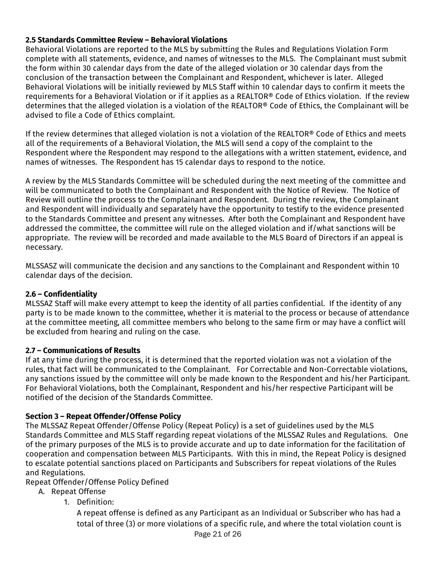## **2.5 Standards Committee Review – Behavioral Violations**

Behavioral Violations are reported to the MLS by submitting the Rules and Regulations Violation Form complete with all statements, evidence, and names of witnesses to the MLS. The Complainant must submit the form within 30 calendar days from the date of the alleged violation or 30 calendar days from the conclusion of the transaction between the Complainant and Respondent, whichever is later. Alleged Behavioral Violations will be initially reviewed by MLS Staff within 10 calendar days to confirm it meets the requirements for a Behavioral Violation or if it applies as a REALTOR® Code of Ethics violation. If the review determines that the alleged violation is a violation of the REALTOR® Code of Ethics, the Complainant will be advised to file a Code of Ethics complaint.

If the review determines that alleged violation is not a violation of the REALTOR<sup>®</sup> Code of Ethics and meets all of the requirements of a Behavioral Violation, the MLS will send a copy of the complaint to the Respondent where the Respondent may respond to the allegations with a written statement, evidence, and names of witnesses. The Respondent has 15 calendar days to respond to the notice.

A review by the MLS Standards Committee will be scheduled during the next meeting of the committee and will be communicated to both the Complainant and Respondent with the Notice of Review. The Notice of Review will outline the process to the Complainant and Respondent. During the review, the Complainant and Respondent will individually and separately have the opportunity to testify to the evidence presented to the Standards Committee and present any witnesses. After both the Complainant and Respondent have addressed the committee, the committee will rule on the alleged violation and if/what sanctions will be appropriate. The review will be recorded and made available to the MLS Board of Directors if an appeal is necessary.

MLSSASZ will communicate the decision and any sanctions to the Complainant and Respondent within 10 calendar days of the decision.

## **2.6 – Confidentiality**

MLSSAZ Staff will make every attempt to keep the identity of all parties confidential. If the identity of any party is to be made known to the committee, whether it is material to the process or because of attendance at the committee meeting, all committee members who belong to the same firm or may have a conflict will be excluded from hearing and ruling on the case.

## **2.7 – Communications of Results**

If at any time during the process, it is determined that the reported violation was not a violation of the rules, that fact will be communicated to the Complainant. For Correctable and Non-Correctable violations, any sanctions issued by the committee will only be made known to the Respondent and his/her Participant. For Behavioral Violations, both the Complainant, Respondent and his/her respective Participant will be notified of the decision of the Standards Committee.

## **Section 3 – Repeat Offender/Offense Policy**

The MLSSAZ Repeat Offender/Offense Policy (Repeat Policy) is a set of guidelines used by the MLS Standards Committee and MLS Staff regarding repeat violations of the MLSSAZ Rules and Regulations. One of the primary purposes of the MLS is to provide accurate and up to date information for the facilitation of cooperation and compensation between MLS Participants. With this in mind, the Repeat Policy is designed to escalate potential sanctions placed on Participants and Subscribers for repeat violations of the Rules and Regulations.

Repeat Offender/Offense Policy Defined

- A. Repeat Offense
	- 1. Definition:

A repeat offense is defined as any Participant as an Individual or Subscriber who has had a total of three (3) or more violations of a specific rule, and where the total violation count is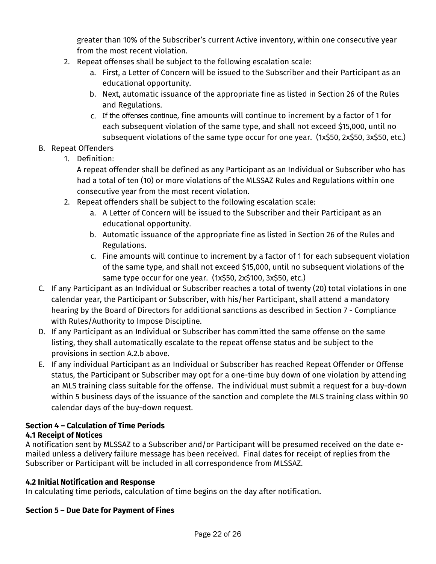greater than 10% of the Subscriber's current Active inventory, within one consecutive year from the most recent violation.

- 2. Repeat offenses shall be subject to the following escalation scale:
	- a. First, a Letter of Concern will be issued to the Subscriber and their Participant as an educational opportunity.
	- b. Next, automatic issuance of the appropriate fine as listed in Section 26 of the Rules and Regulations.
	- c. If the offenses continue, fine amounts will continue to increment by a factor of 1 for each subsequent violation of the same type, and shall not exceed \$15,000, until no subsequent violations of the same type occur for one year. (1x\$50, 2x\$50, 3x\$50, etc.)

## B. Repeat Offenders

1. Definition:

A repeat offender shall be defined as any Participant as an Individual or Subscriber who has had a total of ten (10) or more violations of the MLSSAZ Rules and Regulations within one consecutive year from the most recent violation.

- 2. Repeat offenders shall be subject to the following escalation scale:
	- a. A Letter of Concern will be issued to the Subscriber and their Participant as an educational opportunity.
	- b. Automatic issuance of the appropriate fine as listed in Section 26 of the Rules and Regulations.
	- c. Fine amounts will continue to increment by a factor of 1 for each subsequent violation of the same type, and shall not exceed \$15,000, until no subsequent violations of the same type occur for one year. (1x\$50, 2x\$100, 3x\$50, etc.)
- C. If any Participant as an Individual or Subscriber reaches a total of twenty (20) total violations in one calendar year, the Participant or Subscriber, with his/her Participant, shall attend a mandatory hearing by the Board of Directors for additional sanctions as described in Section 7 - Compliance with Rules/Authority to Impose Discipline.
- D. If any Participant as an Individual or Subscriber has committed the same offense on the same listing, they shall automatically escalate to the repeat offense status and be subject to the provisions in section A.2.b above.
- E. If any individual Participant as an Individual or Subscriber has reached Repeat Offender or Offense status, the Participant or Subscriber may opt for a one-time buy down of one violation by attending an MLS training class suitable for the offense. The individual must submit a request for a buy-down within 5 business days of the issuance of the sanction and complete the MLS training class within 90 calendar days of the buy-down request.

## **Section 4 – Calculation of Time Periods**

## **4.1 Receipt of Notices**

A notification sent by MLSSAZ to a Subscriber and/or Participant will be presumed received on the date emailed unless a delivery failure message has been received. Final dates for receipt of replies from the Subscriber or Participant will be included in all correspondence from MLSSAZ.

## **4.2 Initial Notification and Response**

In calculating time periods, calculation of time begins on the day after notification.

## **Section 5 – Due Date for Payment of Fines**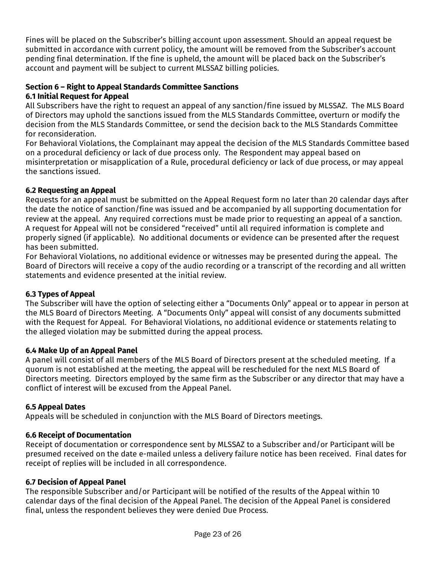Fines will be placed on the Subscriber's billing account upon assessment. Should an appeal request be submitted in accordance with current policy, the amount will be removed from the Subscriber's account pending final determination. If the fine is upheld, the amount will be placed back on the Subscriber's account and payment will be subject to current MLSSAZ billing policies.

#### **Section 6 – Right to Appeal Standards Committee Sanctions**

#### **6.1 Initial Request for Appeal**

All Subscribers have the right to request an appeal of any sanction/fine issued by MLSSAZ. The MLS Board of Directors may uphold the sanctions issued from the MLS Standards Committee, overturn or modify the decision from the MLS Standards Committee, or send the decision back to the MLS Standards Committee for reconsideration.

For Behavioral Violations, the Complainant may appeal the decision of the MLS Standards Committee based on a procedural deficiency or lack of due process only. The Respondent may appeal based on misinterpretation or misapplication of a Rule, procedural deficiency or lack of due process, or may appeal the sanctions issued.

#### **6.2 Requesting an Appeal**

Requests for an appeal must be submitted on the Appeal Request form no later than 20 calendar days after the date the notice of sanction/fine was issued and be accompanied by all supporting documentation for review at the appeal. Any required corrections must be made prior to requesting an appeal of a sanction. A request for Appeal will not be considered "received" until all required information is complete and properly signed (if applicable). No additional documents or evidence can be presented after the request has been submitted.

For Behavioral Violations, no additional evidence or witnesses may be presented during the appeal. The Board of Directors will receive a copy of the audio recording or a transcript of the recording and all written statements and evidence presented at the initial review.

#### **6.3 Types of Appeal**

The Subscriber will have the option of selecting either a "Documents Only" appeal or to appear in person at the MLS Board of Directors Meeting. A "Documents Only" appeal will consist of any documents submitted with the Request for Appeal. For Behavioral Violations, no additional evidence or statements relating to the alleged violation may be submitted during the appeal process.

#### **6.4 Make Up of an Appeal Panel**

A panel will consist of all members of the MLS Board of Directors present at the scheduled meeting. If a quorum is not established at the meeting, the appeal will be rescheduled for the next MLS Board of Directors meeting. Directors employed by the same firm as the Subscriber or any director that may have a conflict of interest will be excused from the Appeal Panel.

#### **6.5 Appeal Dates**

Appeals will be scheduled in conjunction with the MLS Board of Directors meetings.

#### **6.6 Receipt of Documentation**

Receipt of documentation or correspondence sent by MLSSAZ to a Subscriber and/or Participant will be presumed received on the date e-mailed unless a delivery failure notice has been received. Final dates for receipt of replies will be included in all correspondence.

#### **6.7 Decision of Appeal Panel**

The responsible Subscriber and/or Participant will be notified of the results of the Appeal within 10 calendar days of the final decision of the Appeal Panel. The decision of the Appeal Panel is considered final, unless the respondent believes they were denied Due Process.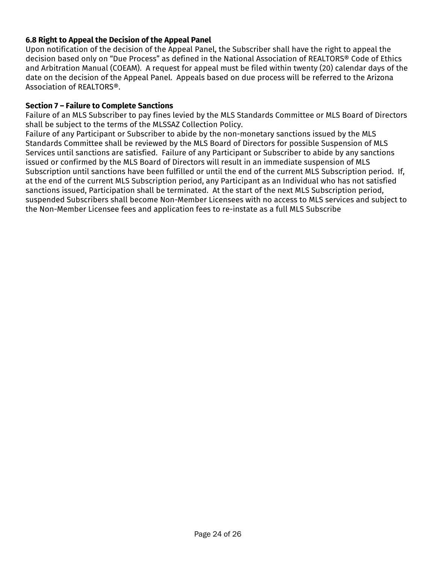#### **6.8 Right to Appeal the Decision of the Appeal Panel**

Upon notification of the decision of the Appeal Panel, the Subscriber shall have the right to appeal the decision based only on "Due Process" as defined in the National Association of REALTORS® Code of Ethics and Arbitration Manual (COEAM). A request for appeal must be filed within twenty (20) calendar days of the date on the decision of the Appeal Panel. Appeals based on due process will be referred to the Arizona Association of REALTORS®.

#### **Section 7 – Failure to Complete Sanctions**

Failure of an MLS Subscriber to pay fines levied by the MLS Standards Committee or MLS Board of Directors shall be subject to the terms of the MLSSAZ Collection Policy.

Failure of any Participant or Subscriber to abide by the non-monetary sanctions issued by the MLS Standards Committee shall be reviewed by the MLS Board of Directors for possible Suspension of MLS Services until sanctions are satisfied. Failure of any Participant or Subscriber to abide by any sanctions issued or confirmed by the MLS Board of Directors will result in an immediate suspension of MLS Subscription until sanctions have been fulfilled or until the end of the current MLS Subscription period. If, at the end of the current MLS Subscription period, any Participant as an Individual who has not satisfied sanctions issued, Participation shall be terminated. At the start of the next MLS Subscription period, suspended Subscribers shall become Non-Member Licensees with no access to MLS services and subject to the Non-Member Licensee fees and application fees to re-instate as a full MLS Subscribe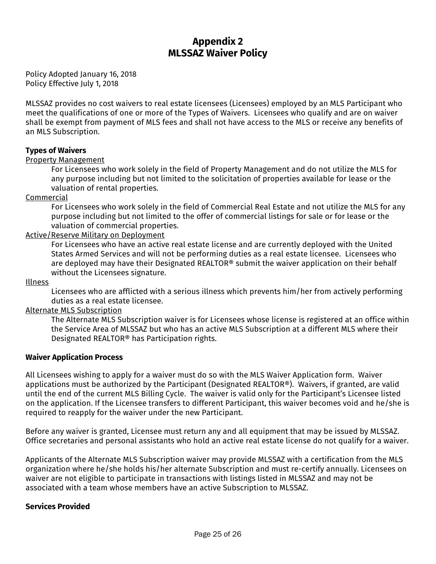## **Appendix 2 MLSSAZ Waiver Policy**

Policy Adopted January 16, 2018 Policy Effective July 1, 2018

MLSSAZ provides no cost waivers to real estate licensees (Licensees) employed by an MLS Participant who meet the qualifications of one or more of the Types of Waivers. Licensees who qualify and are on waiver shall be exempt from payment of MLS fees and shall not have access to the MLS or receive any benefits of an MLS Subscription.

#### **Types of Waivers**

#### Property Management

For Licensees who work solely in the field of Property Management and do not utilize the MLS for any purpose including but not limited to the solicitation of properties available for lease or the valuation of rental properties.

#### Commercial

For Licensees who work solely in the field of Commercial Real Estate and not utilize the MLS for any purpose including but not limited to the offer of commercial listings for sale or for lease or the valuation of commercial properties.

#### Active/Reserve Military on Deployment

For Licensees who have an active real estate license and are currently deployed with the United States Armed Services and will not be performing duties as a real estate licensee. Licensees who are deployed may have their Designated REALTOR® submit the waiver application on their behalf without the Licensees signature.

#### Illness

Licensees who are afflicted with a serious illness which prevents him/her from actively performing duties as a real estate licensee.

#### Alternate MLS Subscription

The Alternate MLS Subscription waiver is for Licensees whose license is registered at an office within the Service Area of MLSSAZ but who has an active MLS Subscription at a different MLS where their Designated REALTOR® has Participation rights.

#### **Waiver Application Process**

All Licensees wishing to apply for a waiver must do so with the MLS Waiver Application form. Waiver applications must be authorized by the Participant (Designated REALTOR®). Waivers, if granted, are valid until the end of the current MLS Billing Cycle. The waiver is valid only for the Participant's Licensee listed on the application. If the Licensee transfers to different Participant, this waiver becomes void and he/she is required to reapply for the waiver under the new Participant.

Before any waiver is granted, Licensee must return any and all equipment that may be issued by MLSSAZ. Office secretaries and personal assistants who hold an active real estate license do not qualify for a waiver.

Applicants of the Alternate MLS Subscription waiver may provide MLSSAZ with a certification from the MLS organization where he/she holds his/her alternate Subscription and must re-certify annually. Licensees on waiver are not eligible to participate in transactions with listings listed in MLSSAZ and may not be associated with a team whose members have an active Subscription to MLSSAZ.

#### **Services Provided**